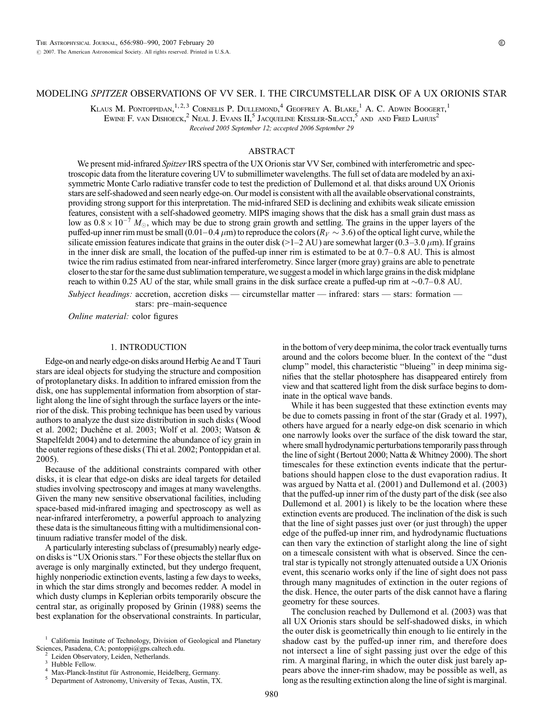# MODELING SPITZER OBSERVATIONS OF VV SER. I. THE CIRCUMSTELLAR DISK OF A UX ORIONIS STAR

KLAUS M. PONTOPPIDAN.<sup>1,2,3</sup> CORNELIS P. DULLEMOND.<sup>4</sup> GEOFFREY A. BLAKE.<sup>1</sup> A. C. ADWIN BOOGERT.<sup>1</sup> Ewine F. van Dishoeck, $^2$  Neal J. Evans II, $^5$  Jacoueline Kessler-Silacci, $^5$  and  $\,$ and Fred Lahuis $^2$ Received 2005 September 12; accepted 2006 September 29

## ABSTRACT

We present mid-infrared Spitzer IRS spectra of the UX Orionis star VV Ser, combined with interferometric and spectroscopic data from the literature covering UV to submillimeter wavelengths. The full set of data are modeled by an axisymmetric Monte Carlo radiative transfer code to test the prediction of Dullemond et al. that disks around UX Orionis stars are self-shadowed and seen nearly edge-on. Our model is consistent with all the available observational constraints, providing strong support for this interpretation. The mid-infrared SED is declining and exhibits weak silicate emission features, consistent with a self-shadowed geometry. MIPS imaging shows that the disk has a small grain dust mass as low as  $0.8 \times 10^{-7}$   $M_{\odot}$ , which may be due to strong grain growth and settling. The grains in the upper layers of the puffed-up inner rim must be small (0.01-0.4  $\mu$ m) to reproduce the colors ( $R_V \sim 3.6$ ) of the optical light curve, while the silicate emission features indicate that grains in the outer disk (>1-2 AU) are somewhat larger (0.3-3.0  $\mu$ m). If grains in the inner disk are small, the location of the puffed-up inner rim is estimated to be at  $0.7-0.8$  AU. This is almost twice the rim radius estimated from near-infrared interferometry. Since larger (more gray) grains are able to penetrate closer to the star for the same dust sublimation temperature, we suggest a model in which large grains in the disk midplane reach to within 0.25 AU of the star, while small grains in the disk surface create a puffed-up rim at  $\sim$ 0.7 $-$ 0.8 AU.

Subject headings: accretion, accretion disks — circumstellar matter — infrared: stars — stars: formation stars: pre-main-sequence

Online material: color figures

#### 1. INTRODUCTION

Edge-on and nearly edge-on disks around Herbig Ae and T Tauri stars are ideal objects for studying the structure and composition of protoplanetary disks. In addition to infrared emission from the disk, one has supplemental information from absorption of starlight along the line of sight through the surface layers or the interior of the disk. This probing technique has been used by various authors to analyze the dust size distribution in such disks (Wood et al. 2002; Duchêne et al. 2003; Wolf et al. 2003; Watson & Stapelfeldt 2004) and to determine the abundance of icy grain in the outer regions of these disks (Thi et al. 2002; Pontoppidan et al. 2005).

Because of the additional constraints compared with other disks, it is clear that edge-on disks are ideal targets for detailed studies involving spectroscopy and images at many wavelengths. Given the many new sensitive observational facilities, including space-based mid-infrared imaging and spectroscopy as well as near-infrared interferometry, a powerful approach to analyzing these data is the simultaneous fitting with a multidimensional continuum radiative transfer model of the disk.

A particularly interesting subclass of (presumably) nearly edgeon disks is ''UX Orionis stars.'' For these objects the stellar flux on average is only marginally extincted, but they undergo frequent, highly nonperiodic extinction events, lasting a few days to weeks, in which the star dims strongly and becomes redder. A model in which dusty clumps in Keplerian orbits temporarily obscure the central star, as originally proposed by Grinin (1988) seems the best explanation for the observational constraints. In particular,

in the bottom of very deep minima, the color track eventually turns around and the colors become bluer. In the context of the ''dust clump'' model, this characteristic ''blueing'' in deep minima signifies that the stellar photosphere has disappeared entirely from view and that scattered light from the disk surface begins to dominate in the optical wave bands.

While it has been suggested that these extinction events may be due to comets passing in front of the star (Grady et al. 1997), others have argued for a nearly edge-on disk scenario in which one narrowly looks over the surface of the disk toward the star, where small hydrodynamic perturbations temporarily pass through the line of sight (Bertout 2000; Natta & Whitney 2000). The short timescales for these extinction events indicate that the perturbations should happen close to the dust evaporation radius. It was argued by Natta et al. (2001) and Dullemond et al. (2003) that the puffed-up inner rim of the dusty part of the disk (see also Dullemond et al. 2001) is likely to be the location where these extinction events are produced. The inclination of the disk is such that the line of sight passes just over (or just through) the upper edge of the puffed-up inner rim, and hydrodynamic fluctuations can then vary the extinction of starlight along the line of sight on a timescale consistent with what is observed. Since the central star is typically not strongly attenuated outside a UX Orionis event, this scenario works only if the line of sight does not pass through many magnitudes of extinction in the outer regions of the disk. Hence, the outer parts of the disk cannot have a flaring geometry for these sources.

The conclusion reached by Dullemond et al. (2003) was that all UX Orionis stars should be self-shadowed disks, in which the outer disk is geometrically thin enough to lie entirely in the shadow cast by the puffed-up inner rim, and therefore does not intersect a line of sight passing just over the edge of this rim. A marginal flaring, in which the outer disk just barely appears above the inner-rim shadow, may be possible as well, as long as the resulting extinction along the line of sight is marginal.

<sup>&</sup>lt;sup>1</sup> California Institute of Technology, Division of Geological and Planetary Sciences, Pasadena, CA; pontoppi@gps.caltech.edu.

<sup>&</sup>lt;sup>2</sup> Leiden Observatory, Leiden, Netherlands.<br>
<sup>3</sup> Hubble Fellow.<br>
<sup>4</sup> Max-Planck-Institut für Astronomie, Heidelberg, Germany.<br>
<sup>5</sup> Department of Astronomy, University of Texas, Austin, TX.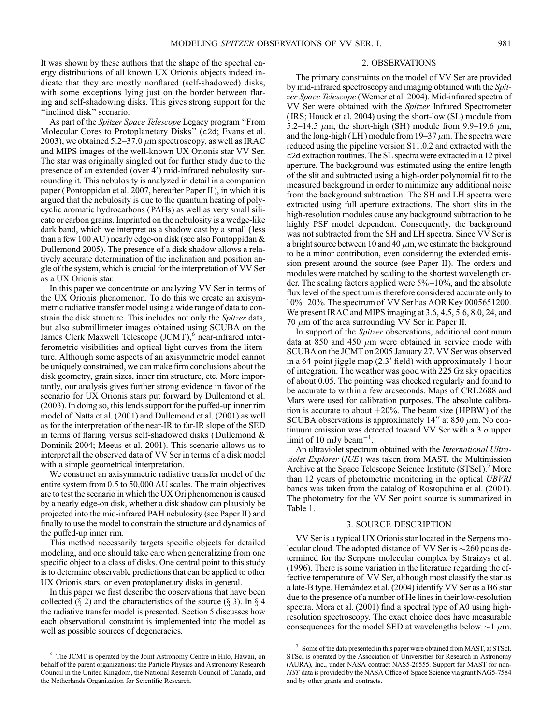It was shown by these authors that the shape of the spectral energy distributions of all known UX Orionis objects indeed indicate that they are mostly nonflared (self-shadowed) disks, with some exceptions lying just on the border between flaring and self-shadowing disks. This gives strong support for the "inclined disk" scenario.

As part of the Spitzer Space Telescope Legacy program "From Molecular Cores to Protoplanetary Disks'' (c2d; Evans et al. 2003), we obtained 5.2–37.0  $\mu$ m spectroscopy, as well as IRAC and MIPS images of the well-known UX Orionis star VV Ser. The star was originally singled out for further study due to the presence of an extended (over 4') mid-infrared nebulosity surrounding it. This nebulosity is analyzed in detail in a companion paper (Pontoppidan et al. 2007, hereafter Paper II ), in which it is argued that the nebulosity is due to the quantum heating of polycyclic aromatic hydrocarbons (PAHs) as well as very small silicate or carbon grains. Imprinted on the nebulosity is a wedge-like dark band, which we interpret as a shadow cast by a small (less than a few 100 AU ) nearly edge-on disk (see also Pontoppidan & Dullemond 2005). The presence of a disk shadow allows a relatively accurate determination of the inclination and position angle of the system, which is crucial for the interpretation of VV Ser as a UX Orionis star.

In this paper we concentrate on analyzing VV Ser in terms of the UX Orionis phenomenon. To do this we create an axisymmetric radiative transfer model using a wide range of data to constrain the disk structure. This includes not only the *Spitzer* data, but also submillimeter images obtained using SCUBA on the James Clerk Maxwell Telescope  $\left(\text{JCMT}\right)^6$  near-infrared interferometric visibilities and optical light curves from the literature. Although some aspects of an axisymmetric model cannot be uniquely constrained, we can make firm conclusions about the disk geometry, grain sizes, inner rim structure, etc. More importantly, our analysis gives further strong evidence in favor of the scenario for UX Orionis stars put forward by Dullemond et al. (2003). In doing so, this lends support for the puffed-up inner rim model of Natta et al. (2001) and Dullemond et al. (2001) as well as for the interpretation of the near-IR to far-IR slope of the SED in terms of flaring versus self-shadowed disks (Dullemond & Dominik 2004; Meeus et al. 2001). This scenario allows us to interpret all the observed data of VV Ser in terms of a disk model with a simple geometrical interpretation.

We construct an axisymmetric radiative transfer model of the entire system from 0.5 to 50,000 AU scales. The main objectives are to test the scenario in which the UX Ori phenomenon is caused by a nearly edge-on disk, whether a disk shadow can plausibly be projected into the mid-infrared PAH nebulosity (see Paper II ) and finally to use the model to constrain the structure and dynamics of the puffed-up inner rim.

This method necessarily targets specific objects for detailed modeling, and one should take care when generalizing from one specific object to a class of disks. One central point to this study is to determine observable predictions that can be applied to other UX Orionis stars, or even protoplanetary disks in general.

In this paper we first describe the observations that have been collected ( $\S$  2) and the characteristics of the source ( $\S$  3). In  $\S$  4 the radiative transfer model is presented. Section 5 discusses how each observational constraint is implemented into the model as well as possible sources of degeneracies.

### 2. OBSERVATIONS

The primary constraints on the model of VV Ser are provided by mid-infrared spectroscopy and imaging obtained with the *Spit*zer Space Telescope (Werner et al. 2004). Mid-infrared spectra of VV Ser were obtained with the Spitzer Infrared Spectrometer ( IRS; Houck et al. 2004) using the short-low (SL) module from 5.2–14.5  $\mu$ m, the short-high (SH) module from 9.9–19.6  $\mu$ m, and the long-high (LH) module from  $19-37 \mu$ m. The spectra were reduced using the pipeline version S11.0.2 and extracted with the c2d extraction routines. The SL spectra were extracted in a 12 pixel aperture. The background was estimated using the entire length of the slit and subtracted using a high-order polynomial fit to the measured background in order to minimize any additional noise from the background subtraction. The SH and LH spectra were extracted using full aperture extractions. The short slits in the high-resolution modules cause any background subtraction to be highly PSF model dependent. Consequently, the background was not subtracted from the SH and LH spectra. Since VV Ser is a bright source between 10 and 40  $\mu$ m, we estimate the background to be a minor contribution, even considering the extended emission present around the source (see Paper II). The orders and modules were matched by scaling to the shortest wavelength order. The scaling factors applied were  $5\% - 10\%$ , and the absolute flux level of the spectrum is therefore considered accurate only to  $10\% - 20\%$ . The spectrum of VV Ser has AOR Key 0005651200. We present IRAC and MIPS imaging at 3.6, 4.5, 5.6, 8.0, 24, and 70  $\mu$ m of the area surrounding VV Ser in Paper II.

In support of the *Spitzer* observations, additional continuum data at 850 and 450  $\mu$ m were obtained in service mode with SCUBA on the JCMT on 2005 January 27. VV Ser was observed in a 64-point jiggle map  $(2.3'$  field) with approximately 1 hour of integration. The weather was good with 225 Gz sky opacities of about 0.05. The pointing was checked regularly and found to be accurate to within a few arcseconds. Maps of CRL2688 and Mars were used for calibration purposes. The absolute calibration is accurate to about  $\pm 20\%$ . The beam size (HPBW) of the SCUBA observations is approximately  $14''$  at 850  $\mu$ m. No continuum emission was detected toward VV Ser with a 3  $\sigma$  upper limit of 10 mJy beam<sup>-1</sup>.

An ultraviolet spectrum obtained with the International Ultraviolet Explorer (IUE) was taken from MAST, the Multimission Archive at the Space Telescope Science Institute (STScI).<sup>7</sup> More than 12 years of photometric monitoring in the optical UBVRI bands was taken from the catalog of Rostopchina et al. (2001). The photometry for the VV Ser point source is summarized in Table 1.

## 3. SOURCE DESCRIPTION

VV Ser is a typical UX Orionis star located in the Serpens molecular cloud. The adopted distance of VV Ser is  $\sim$ 260 pc as determined for the Serpens molecular complex by Straizys et al. (1996). There is some variation in the literature regarding the effective temperature of VV Ser, although most classify the star as a late-B type. Hernández et al. (2004) identify VV Ser as a B6 star due to the presence of a number of He lines in their low-resolution spectra. Mora et al. (2001) find a spectral type of A0 using highresolution spectroscopy. The exact choice does have measurable consequences for the model SED at wavelengths below  $\sim$ 1  $\mu$ m.

<sup>6</sup> The JCMT is operated by the Joint Astronomy Centre in Hilo, Hawaii, on behalf of the parent organizations: the Particle Physics and Astronomy Research Council in the United Kingdom, the National Research Council of Canada, and the Netherlands Organization for Scientific Research.

<sup>7</sup> Some of the data presented in this paper were obtained from MAST, at STScI. STScI is operated by the Association of Universities for Research in Astronomy (AURA), Inc., under NASA contract NAS5-26555. Support for MAST for non-HST data is provided by the NASA Office of Space Science via grant NAG5-7584 and by other grants and contracts.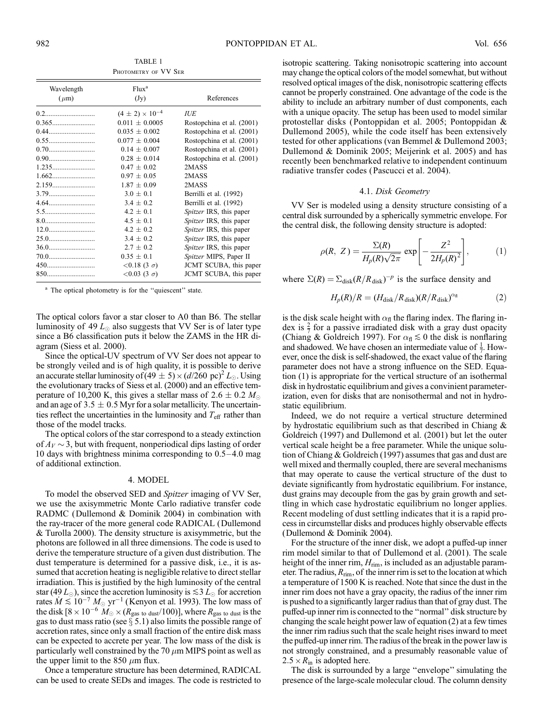TABLE 1 PHOTOMETRY OF VV SER

| Wavelength | Flux <sup>a</sup>          |                                |  |
|------------|----------------------------|--------------------------------|--|
| $(\mu m)$  | (Jy)                       | References                     |  |
|            | $(4 \pm 2) \times 10^{-4}$ | <b>IUE</b>                     |  |
|            | $0.011 \pm 0.0005$         | Rostopchina et al. (2001)      |  |
| 0.44       | $0.035 \pm 0.002$          | Rostopchina et al. (2001)      |  |
| 0.55       | $0.077 \pm 0.004$          | Rostopchina et al. (2001)      |  |
| 0.70       | $0.14 + 0.007$             | Rostopchina et al. (2001)      |  |
|            | $0.28 \pm 0.014$           | Rostopchina et al. (2001)      |  |
|            | $0.47 + 0.02$              | 2MASS                          |  |
|            | $0.97 + 0.05$              | 2MASS                          |  |
| 2.159      | $1.87 \pm 0.09$            | 2MASS                          |  |
|            | $3.0 \pm 0.1$              | Berrilli et al. (1992)         |  |
| 4.64       | $3.4 \pm 0.2$              | Berrilli et al. (1992)         |  |
| 5.5        | $4.2 + 0.1$                | <i>Spitzer</i> IRS, this paper |  |
| 8.0        | $4.5 \pm 0.1$              | Spitzer IRS, this paper        |  |
|            | $4.2 + 0.2$                | Spitzer IRS, this paper        |  |
|            | $3.4 \pm 0.2$              | Spitzer IRS, this paper        |  |
|            | $2.7 + 0.2$                | <i>Spitzer</i> IRS, this paper |  |
| 70.0       | $0.35 \pm 0.1$             | Spitzer MIPS, Paper II         |  |
| 450        | $< 0.18$ (3 $\sigma$ )     | JCMT SCUBA, this paper         |  |
| 850        | $< 0.03$ (3 $\sigma$ )     | JCMT SCUBA, this paper         |  |

<sup>a</sup> The optical photometry is for the "quiescent" state.

The optical colors favor a star closer to A0 than B6. The stellar luminosity of 49  $L_{\odot}$  also suggests that VV Ser is of later type since a B6 classification puts it below the ZAMS in the HR diagram (Siess et al. 2000).

Since the optical-UV spectrum of VV Ser does not appear to be strongly veiled and is of high quality, it is possible to derive an accurate stellar luminosity of  $(49 \pm 5) \times (d/260 \text{ pc})^2 L_{\odot}$ . Using the evolutionary tracks of Siess et al. (2000) and an effective temperature of 10,200 K, this gives a stellar mass of 2.6  $\pm$  0.2  $M_{\odot}$ and an age of  $3.5 \pm 0.5$  Myr for a solar metallicity. The uncertainties reflect the uncertainties in the luminosity and  $T_{\text{eff}}$  rather than those of the model tracks.

The optical colors of the star correspond to a steady extinction of  $A_V \sim 3$ , but with frequent, nonperiodical dips lasting of order 10 days with brightness minima corresponding to  $0.5-4.0$  mag of additional extinction.

#### 4. MODEL

To model the observed SED and Spitzer imaging of VV Ser, we use the axisymmetric Monte Carlo radiative transfer code RADMC (Dullemond & Dominik 2004) in combination with the ray-tracer of the more general code RADICAL (Dullemond & Turolla 2000). The density structure is axisymmetric, but the photons are followed in all three dimensions. The code is used to derive the temperature structure of a given dust distribution. The dust temperature is determined for a passive disk, i.e., it is assumed that accretion heating is negligible relative to direct stellar irradiation. This is justified by the high luminosity of the central star (49  $L_{\odot}$ ), since the accretion luminosity is  $\leq$  3  $L_{\odot}$  for accretion rates  $\dot{M} \lesssim 10^{-7} M_{\odot} \text{ yr}^{-1}$  (Kenyon et al. 1993). The low mass of the disk  $[8 \times 10^{-6} \; M_\odot \times (R_{\rm gas\;to\;dust}/100)]$ , where  $R_{\rm gas\;to\;dust}$  is the gas to dust mass ratio (see  $\S 5.1$ ) also limits the possible range of accretion rates, since only a small fraction of the entire disk mass can be expected to accrete per year. The low mass of the disk is particularly well constrained by the 70  $\mu$ m MIPS point as well as the upper limit to the 850  $\mu$ m flux.

Once a temperature structure has been determined, RADICAL can be used to create SEDs and images. The code is restricted to

isotropic scattering. Taking nonisotropic scattering into account may change the optical colors of the model somewhat, but without resolved optical images of the disk, nonisotropic scattering effects cannot be properly constrained. One advantage of the code is the ability to include an arbitrary number of dust components, each with a unique opacity. The setup has been used to model similar protostellar disks (Pontoppidan et al. 2005; Pontoppidan & Dullemond 2005), while the code itself has been extensively tested for other applications (van Bemmel & Dullemond 2003; Dullemond & Dominik 2005; Meijerink et al. 2005) and has recently been benchmarked relative to independent continuum radiative transfer codes (Pascucci et al. 2004).

#### 4.1. Disk Geometry

VV Ser is modeled using a density structure consisting of a central disk surrounded by a spherically symmetric envelope. For the central disk, the following density structure is adopted:

$$
\rho(R, Z) = \frac{\Sigma(R)}{H_p(R)\sqrt{2\pi}} \exp\left[-\frac{Z^2}{2H_p(R)^2}\right],
$$
 (1)

where  $\Sigma(R) = \Sigma_{disk}(R/R_{disk})^{-p}$  is the surface density and

$$
H_p(R)/R = (H_{\text{disk}}/R_{\text{disk}})(R/R_{\text{disk}})^{\alpha_{\text{fl}}}
$$
 (2)

is the disk scale height with  $\alpha_{\rm fl}$  the flaring index. The flaring index is  $\frac{2}{7}$  for a passive irradiated disk with a gray dust opacity (Chiang & Goldreich 1997). For  $\alpha_{fl} \lesssim 0$  the disk is nonflaring and shadowed. We have chosen an intermediate value of  $\frac{1}{7}$ . However, once the disk is self-shadowed, the exact value of the flaring parameter does not have a strong influence on the SED. Equation (1) is appropriate for the vertical structure of an isothermal disk in hydrostatic equilibrium and gives a convinient parameterization, even for disks that are nonisothermal and not in hydrostatic equilibrium.

Indeed, we do not require a vertical structure determined by hydrostatic equilibrium such as that described in Chiang & Goldreich (1997) and Dullemond et al. (2001) but let the outer vertical scale height be a free parameter. While the unique solution of Chiang & Goldreich (1997) assumes that gas and dust are well mixed and thermally coupled, there are several mechanisms that may operate to cause the vertical structure of the dust to deviate significantly from hydrostatic equilibrium. For instance, dust grains may decouple from the gas by grain growth and settling in which case hydrostatic equilibrium no longer applies. Recent modeling of dust settling indicates that it is a rapid process in circumstellar disks and produces highly observable effects (Dullemond & Dominik 2004).

For the structure of the inner disk, we adopt a puffed-up inner rim model similar to that of Dullemond et al. (2001). The scale height of the inner rim,  $H_{\text{rim}}$ , is included as an adjustable parameter. The radius,  $R_{rim}$ , of the inner rim is set to the location at which a temperature of 1500 K is reached. Note that since the dust in the inner rim does not have a gray opacity, the radius of the inner rim is pushed to a significantly larger radius than that of gray dust. The puffed-up inner rim is connected to the ''normal'' disk structure by changing the scale height power law of equation (2) at a few times the inner rim radius such that the scale height rises inward to meet the puffed-up inner rim. The radius of the break in the power law is not strongly constrained, and a presumably reasonable value of  $2.5 \times R_{\text{in}}$  is adopted here.

The disk is surrounded by a large "envelope" simulating the presence of the large-scale molecular cloud. The column density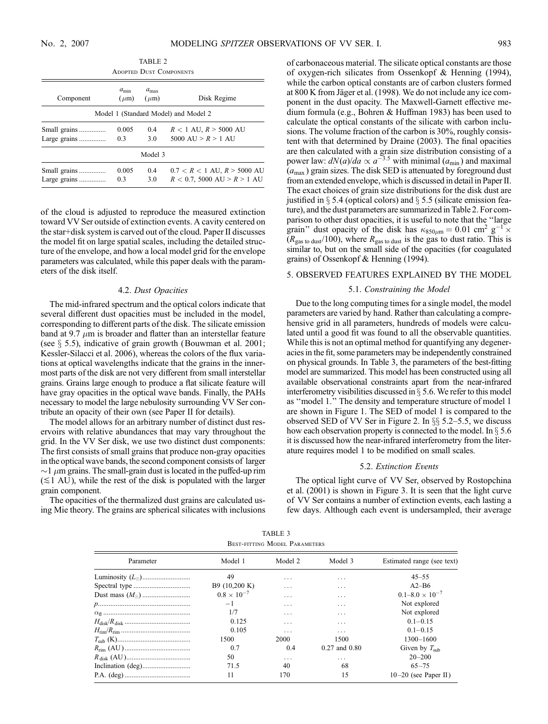TABLE 2 Adopted Dust Components Component  $a_{\rm min}$  $(\mu m)$  $a_{\text{ma}}$  $(\mu m)$  Disk Regime Model 1 (Standard Model) and Model 2 Small grains ............... 0.005 0.4 R < 1 AU, R > 5000 AU Large grains ............... 0.3 3.0 5000 AU > R > 1 AU Model 3 Small grains ............... 0.005 0.4 0.7 < R < 1 AU, R > 5000 AU Large grains ............... 0.3 3.0 R < 0.7, 5000 AU > R > 1 AU

of the cloud is adjusted to reproduce the measured extinction toward VV Ser outside of extinction events. A cavity centered on the star+disk system is carved out of the cloud. Paper II discusses the model fit on large spatial scales, including the detailed structure of the envelope, and how a local model grid for the envelope parameters was calculated, while this paper deals with the parameters of the disk itself.

### 4.2. Dust Opacities

The mid-infrared spectrum and the optical colors indicate that several different dust opacities must be included in the model, corresponding to different parts of the disk. The silicate emission band at 9.7  $\mu$ m is broader and flatter than an interstellar feature (see  $\S$  5.5), indicative of grain growth (Bouwman et al. 2001; Kessler-Silacci et al. 2006), whereas the colors of the flux variations at optical wavelengths indicate that the grains in the innermost parts of the disk are not very different from small interstellar grains. Grains large enough to produce a flat silicate feature will have gray opacities in the optical wave bands. Finally, the PAHs necessary to model the large nebulosity surrounding VV Ser contribute an opacity of their own (see Paper II for details).

The model allows for an arbitrary number of distinct dust reservoirs with relative abundances that may vary throughout the grid. In the VV Ser disk, we use two distinct dust components: The first consists of small grains that produce non-gray opacities in the optical wave bands, the second component consists of larger  $\sim$ 1  $\mu$ m grains. The small-grain dust is located in the puffed-up rim  $(\leq 1$  AU), while the rest of the disk is populated with the larger grain component.

The opacities of the thermalized dust grains are calculated using Mie theory. The grains are spherical silicates with inclusions

of carbonaceous material. The silicate optical constants are those of oxygen-rich silicates from Ossenkopf & Henning (1994), while the carbon optical constants are of carbon clusters formed at 800 K from Jäger et al. (1998). We do not include any ice component in the dust opacity. The Maxwell-Garnett effective medium formula (e.g., Bohren & Huffman 1983) has been used to calculate the optical constants of the silicate with carbon inclusions. The volume fraction of the carbon is 30%, roughly consistent with that determined by Draine (2003). The final opacities are then calculated with a grain size distribution consisting of a power law:  $dN(a)/da \propto a^{-3.5}$  with minimal ( $a_{\min}$ ) and maximal  $(a<sub>max</sub>)$  grain sizes. The disk SED is attenuated by foreground dust from an extended envelope, which is discussed in detail in Paper II. The exact choices of grain size distributions for the disk dust are justified in  $\S$  5.4 (optical colors) and  $\S$  5.5 (silicate emission feature), and the dust parameters are summarized in Table 2. For comparison to other dust opacities, it is useful to note that the ''large grain" dust opacity of the disk has  $\kappa_{850\mu m} = 0.01$  cm<sup>2</sup> g<sup>-1</sup>  $\times$  $(R<sub>gas to dust</sub>/100)$ , where  $R<sub>gas to dust</sub>$  is the gas to dust ratio. This is similar to, but on the small side of the opacities (for coagulated grains) of Ossenkopf & Henning (1994).

## 5. OBSERVED FEATURES EXPLAINED BY THE MODEL

### 5.1. Constraining the Model

Due to the long computing times for a single model, the model parameters are varied by hand. Rather than calculating a comprehensive grid in all parameters, hundreds of models were calculated until a good fit was found to all the observable quantities. While this is not an optimal method for quantifying any degeneracies in the fit, some parameters may be independently constrained on physical grounds. In Table 3, the parameters of the best-fitting model are summarized. This model has been constructed using all available observational constraints apart from the near-infrared interferometry visibilities discussed in  $\S$  5.6. We refer to this model as ''model 1.'' The density and temperature structure of model 1 are shown in Figure 1. The SED of model 1 is compared to the observed SED of VV Ser in Figure 2. In  $\S$  5.2–5.5, we discuss how each observation property is connected to the model. In  $\S 5.6$ it is discussed how the near-infrared interferometry from the literature requires model 1 to be modified on small scales.

#### 5.2. Extinction Events

The optical light curve of VV Ser, observed by Rostopchina et al. (2001) is shown in Figure 3. It is seen that the light curve of VV Ser contains a number of extinction events, each lasting a few days. Although each event is undersampled, their average

TABLE 3 Best-fitting Model Parameters

| Parameter | Model 1              | Model 2 | Model 3           | Estimated range (see text) |  |
|-----------|----------------------|---------|-------------------|----------------------------|--|
|           | 49                   | .       | .                 | $45 - 55$                  |  |
|           | B9 (10,200 K)        | .       | .                 | $A2-B6$                    |  |
|           | $0.8 \times 10^{-7}$ | .       | .                 | $0.1 - 8.0 \times 10^{-7}$ |  |
|           | $-1$                 | .       | .                 | Not explored               |  |
|           | 1/7                  | .       | .                 | Not explored               |  |
|           | 0.125                | .       | .                 | $0.1 - 0.15$               |  |
|           | 0.105                | .       | .                 | $0.1 - 0.15$               |  |
|           | 1500                 | 2000    | 1500              | $1300 - 1600$              |  |
|           | 0.7                  | 0.4     | $0.27$ and $0.80$ | Given by $T_{sub}$         |  |
|           | 50                   | .       | .                 | $20 - 200$                 |  |
|           | 71.5                 | 40      | 68                | $65 - 75$                  |  |
|           | 11                   | 170     | 15                | $10-20$ (see Paper II)     |  |
|           |                      |         |                   |                            |  |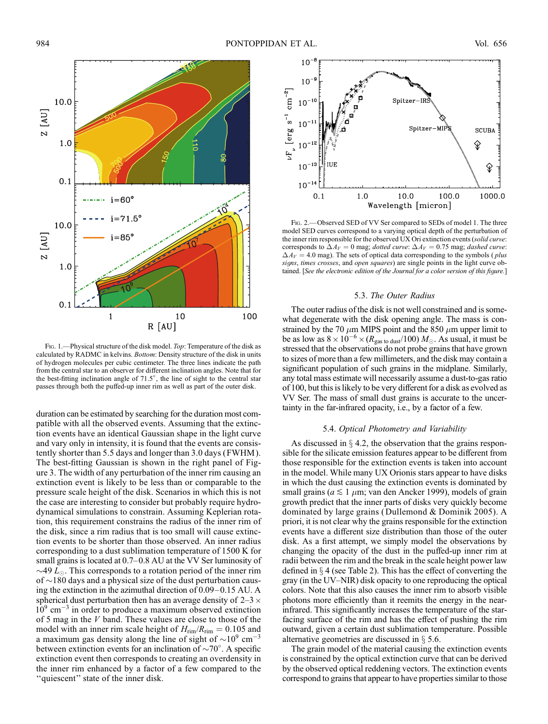

FIG. 1.—Physical structure of the disk model. Top: Temperature of the disk as calculated by RADMC in kelvins. Bottom: Density structure of the disk in units of hydrogen molecules per cubic centimeter. The three lines indicate the path from the central star to an observer for different inclination angles. Note that for the best-fitting inclination angle of  $71.5^\circ$ , the line of sight to the central star passes through both the puffed-up inner rim as well as part of the outer disk.

duration can be estimated by searching for the duration most compatible with all the observed events. Assuming that the extinction events have an identical Gaussian shape in the light curve and vary only in intensity, it is found that the events are consistently shorter than 5.5 days and longer than 3.0 days (FWHM ). The best-fitting Gaussian is shown in the right panel of Figure 3. The width of any perturbation of the inner rim causing an extinction event is likely to be less than or comparable to the pressure scale height of the disk. Scenarios in which this is not the case are interesting to consider but probably require hydrodynamical simulations to constrain. Assuming Keplerian rotation, this requirement constrains the radius of the inner rim of the disk, since a rim radius that is too small will cause extinction events to be shorter than those observed. An inner radius corresponding to a dust sublimation temperature of 1500 K for small grains is located at  $0.7-0.8$  AU at the VV Ser luminosity of  $\sim$ 49  $L_{\odot}$ . This corresponds to a rotation period of the inner rim of  $\sim$ 180 days and a physical size of the dust perturbation causing the extinction in the azimuthal direction of  $0.09-0.15$  AU. A spherical dust perturbation then has an average density of  $2-3 \times$  $10^9$  cm<sup>-3</sup> in order to produce a maximum observed extinction of 5 mag in the V band. These values are close to those of the model with an inner rim scale height of  $H_{rim}/R_{rim} = 0.105$  and a maximum gas density along the line of sight of  $\sim 10^9$  cm<sup>-3</sup> between extinction events for an inclination of  $\sim$ 70°. A specific extinction event then corresponds to creating an overdensity in the inner rim enhanced by a factor of a few compared to the "quiescent" state of the inner disk.



FIG. 2. - Observed SED of VV Ser compared to SEDs of model 1. The three model SED curves correspond to a varying optical depth of the perturbation of the inner rim responsible for the observed UX Ori extinction events (solid curve: corresponds to  $\Delta A_V = 0$  mag; *dotted curve*:  $\Delta A_V = 0.75$  mag; *dashed curve*:  $\Delta A_V = 4.0$  mag). The sets of optical data corresponding to the symbols (*plus* signs, times crosses, and open squares) are single points in the light curve obtained. [See the electronic edition of the Journal for a color version of this figure.]

### 5.3. The Outer Radius

The outer radius of the disk is not well constrained and is somewhat degenerate with the disk opening angle. The mass is constrained by the 70  $\mu$ m MIPS point and the 850  $\mu$ m upper limit to be as low as  $8 \times 10^{-6} \times (R_{\text{gas to dust}}/100) M_{\odot}$ . As usual, it must be stressed that the observations do not probe grains that have grown to sizes of more than a few millimeters, and the disk may contain a significant population of such grains in the midplane. Similarly, any total mass estimate will necessarily assume a dust-to-gas ratio of 100, but this is likely to be very different for a disk as evolved as VV Ser. The mass of small dust grains is accurate to the uncertainty in the far-infrared opacity, i.e., by a factor of a few.

#### 5.4. Optical Photometry and Variability

As discussed in  $\S$  4.2, the observation that the grains responsible for the silicate emission features appear to be different from those responsible for the extinction events is taken into account in the model. While many UX Orionis stars appear to have disks in which the dust causing the extinction events is dominated by small grains ( $a \leq 1 \mu$ m; van den Ancker 1999), models of grain growth predict that the inner parts of disks very quickly become dominated by large grains (Dullemond & Dominik 2005). A priori, it is not clear why the grains responsible for the extinction events have a different size distribution than those of the outer disk. As a first attempt, we simply model the observations by changing the opacity of the dust in the puffed-up inner rim at radii between the rim and the break in the scale height power law defined in  $\S$  4 (see Table 2). This has the effect of converting the gray (in the UV–NIR) disk opacity to one reproducing the optical colors. Note that this also causes the inner rim to absorb visible photons more efficiently than it reemits the energy in the nearinfrared. This significantly increases the temperature of the starfacing surface of the rim and has the effect of pushing the rim outward, given a certain dust sublimation temperature. Possible alternative geometries are discussed in  $\S$  5.6.

The grain model of the material causing the extinction events is constrained by the optical extinction curve that can be derived by the observed optical reddening vectors. The extinction events correspond to grains that appear to have properties similar to those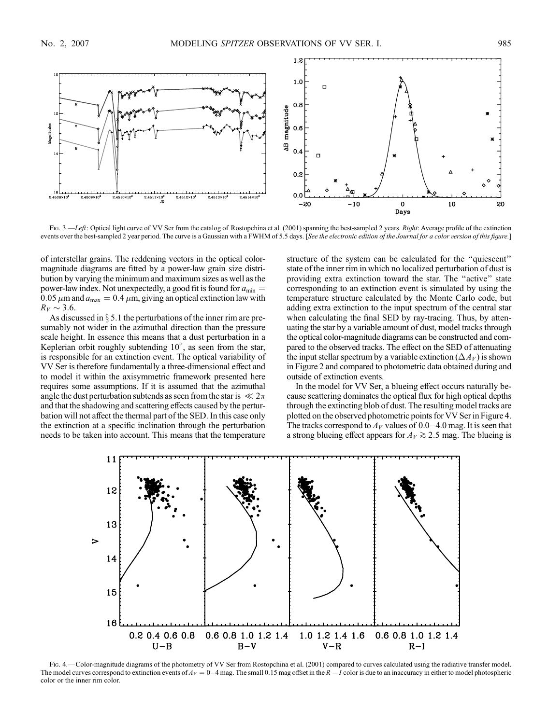

Fig. 3.—Left: Optical light curve of VV Ser from the catalog of Rostopchina et al. (2001) spanning the best-sampled 2 years. Right: Average profile of the extinction events over the best-sampled 2 year period. The curve is a Gaussian with a FWHM of 5.5 days. [See the electronic edition of the Journal for a color version of this figure.]

of interstellar grains. The reddening vectors in the optical colormagnitude diagrams are fitted by a power-law grain size distribution by varying the minimum and maximum sizes as well as the power-law index. Not unexpectedly, a good fit is found for  $a_{\text{min}} =$ 0.05  $\mu$ m and  $a_{\text{max}} = 0.4 \mu$ m, giving an optical extinction law with  $R_V \sim 3.6$ .

As discussed in  $\S$  5.1 the perturbations of the inner rim are presumably not wider in the azimuthal direction than the pressure scale height. In essence this means that a dust perturbation in a Keplerian orbit roughly subtending  $10^{\circ}$ , as seen from the star, is responsible for an extinction event. The optical variability of VV Ser is therefore fundamentally a three-dimensional effect and to model it within the axisymmetric framework presented here requires some assumptions. If it is assumed that the azimuthal angle the dust perturbation subtends as seen from the star is  $\ll 2\pi$ and that the shadowing and scattering effects caused by the perturbation will not affect the thermal part of the SED. In this case only the extinction at a specific inclination through the perturbation needs to be taken into account. This means that the temperature structure of the system can be calculated for the ''quiescent'' state of the inner rim in which no localized perturbation of dust is providing extra extinction toward the star. The ''active'' state corresponding to an extinction event is simulated by using the temperature structure calculated by the Monte Carlo code, but adding extra extinction to the input spectrum of the central star when calculating the final SED by ray-tracing. Thus, by attenuating the star by a variable amount of dust, model tracks through the optical color-magnitude diagrams can be constructed and compared to the observed tracks. The effect on the SED of attenuating the input stellar spectrum by a variable extinction  $(\Delta A_V)$  is shown in Figure 2 and compared to photometric data obtained during and outside of extinction events.

In the model for VV Ser, a blueing effect occurs naturally because scattering dominates the optical flux for high optical depths through the extincting blob of dust. The resulting model tracks are plotted on the observed photometric points for VV Ser in Figure 4. The tracks correspond to  $A_V$  values of 0.0–4.0 mag. It is seen that a strong blueing effect appears for  $A_V \gtrsim 2.5$  mag. The blueing is



Fig. 4.—Color-magnitude diagrams of the photometry of VV Ser from Rostopchina et al. (2001) compared to curves calculated using the radiative transfer model. The model curves correspond to extinction events of  $A_V = 0-4$  mag. The small 0.15 mag offset in the  $R - I$  color is due to an inaccuracy in either to model photospheric color or the inner rim color.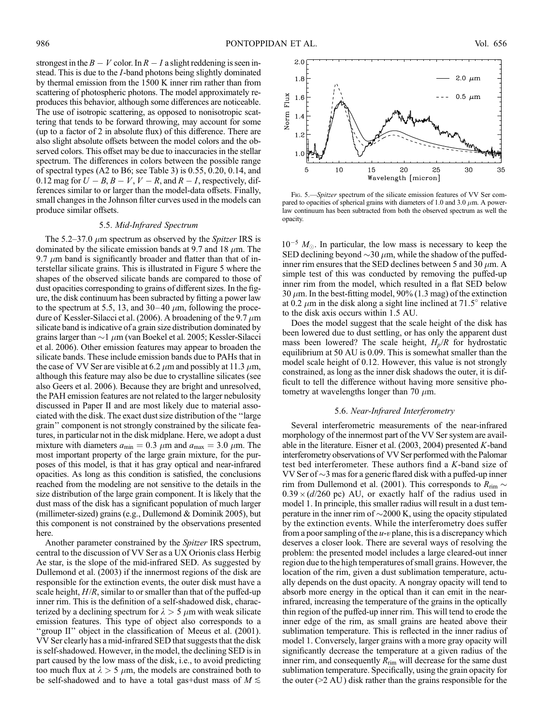strongest in the  $B - V$  color. In  $R - I$  a slight reddening is seen instead. This is due to the I-band photons being slightly dominated by thermal emission from the 1500 K inner rim rather than from scattering of photospheric photons. The model approximately reproduces this behavior, although some differences are noticeable. The use of isotropic scattering, as opposed to nonisotropic scattering that tends to be forward throwing, may account for some (up to a factor of 2 in absolute flux) of this difference. There are also slight absolute offsets between the model colors and the observed colors. This offset may be due to inaccuracies in the stellar spectrum. The differences in colors between the possible range of spectral types (A2 to B6; see Table 3) is 0.55, 0.20, 0.14, and 0.12 mag for  $U - B$ ,  $B - V$ ,  $V - R$ , and  $R - I$ , respectively, differences similar to or larger than the model-data offsets. Finally, small changes in the Johnson filter curves used in the models can produce similar offsets.

#### 5.5. Mid-Infrared Spectrum

The 5.2–37.0  $\mu$ m spectrum as observed by the *Spitzer* IRS is dominated by the silicate emission bands at 9.7 and 18  $\mu$ m. The 9.7  $\mu$ m band is significantly broader and flatter than that of interstellar silicate grains. This is illustrated in Figure 5 where the shapes of the observed silicate bands are compared to those of dust opacities corresponding to grains of different sizes. In the figure, the disk continuum has been subracted by fitting a power law to the spectrum at 5.5, 13, and 30–40  $\mu$ m, following the procedure of Kessler-Silacci et al. (2006). A broadening of the 9.7  $\mu$ m silicate band is indicative of a grain size distribution dominated by grains larger than  $\sim$  1  $\mu$ m (van Boekel et al. 2005; Kessler-Silacci et al. 2006). Other emission features may appear to broaden the silicate bands. These include emission bands due to PAHs that in the case of VV Ser are visible at 6.2  $\mu$ m and possibly at 11.3  $\mu$ m, although this feature may also be due to crystalline silicates (see also Geers et al. 2006). Because they are bright and unresolved, the PAH emission features are not related to the larger nebulosity discussed in Paper II and are most likely due to material associated with the disk. The exact dust size distribution of the ''large grain'' component is not strongly constrained by the silicate features, in particular not in the disk midplane. Here, we adopt a dust mixture with diameters  $a_{\text{min}} = 0.3 \ \mu \text{m}$  and  $a_{\text{max}} = 3.0 \ \mu \text{m}$ . The most important property of the large grain mixture, for the purposes of this model, is that it has gray optical and near-infrared opacities. As long as this condition is satisfied, the conclusions reached from the modeling are not sensitive to the details in the size distribution of the large grain component. It is likely that the dust mass of the disk has a significant population of much larger (millimeter-sized) grains (e.g., Dullemond & Dominik 2005), but this component is not constrained by the observations presented here.

Another parameter constrained by the Spitzer IRS spectrum, central to the discussion of VV Ser as a UX Orionis class Herbig Ae star, is the slope of the mid-infrared SED. As suggested by Dullemond et al. (2003) if the innermost regions of the disk are responsible for the extinction events, the outer disk must have a scale height,  $H/R$ , similar to or smaller than that of the puffed-up inner rim. This is the definition of a self-shadowed disk, characterized by a declining spectrum for  $\lambda > 5$   $\mu$ m with weak silicate emission features. This type of object also corresponds to a "group II" object in the classification of Meeus et al. (2001). VV Ser clearly has a mid-infrared SED that suggests that the disk is self-shadowed. However, in the model, the declining SED is in part caused by the low mass of the disk, i.e., to avoid predicting too much flux at  $\lambda > 5$   $\mu$ m, the models are constrained both to be self-shadowed and to have a total gas+dust mass of  $M \leq$ 



Fig. 5.—Spitzer spectrum of the silicate emission features of VV Ser compared to opacities of spherical grains with diameters of 1.0 and 3.0  $\mu$ m. A powerlaw continuum has been subtracted from both the observed spectrum as well the opacity.

 $10^{-5}$   $M_{\odot}$ . In particular, the low mass is necessary to keep the SED declining beyond  $\sim$ 30  $\mu$ m, while the shadow of the puffedinner rim ensures that the SED declines between 5 and 30  $\mu$ m. A simple test of this was conducted by removing the puffed-up inner rim from the model, which resulted in a flat SED below 30  $\mu$ m. In the best-fitting model, 90% (1.3 mag) of the extinction at 0.2  $\mu$ m in the disk along a sight line inclined at 71.5 $\degree$  relative to the disk axis occurs within 1.5 AU.

Does the model suggest that the scale height of the disk has been lowered due to dust settling, or has only the apparent dust mass been lowered? The scale height,  $H_p/R$  for hydrostatic equilibrium at 50 AU is 0.09. This is somewhat smaller than the model scale height of 0.12. However, this value is not strongly constrained, as long as the inner disk shadows the outer, it is difficult to tell the difference without having more sensitive photometry at wavelengths longer than 70  $\mu$ m.

### 5.6. Near-Infrared Interferometry

Several interferometric measurements of the near-infrared morphology of the innermost part of the VV Ser system are available in the literature. Eisner et al. (2003, 2004) presented K-band interferometry observations of VV Ser performed with the Palomar test bed interferometer. These authors find a K-band size of VV Ser of  $\sim$ 3 mas for a generic flared disk with a puffed-up inner rim from Dullemond et al. (2001). This corresponds to  $R_{rim} \sim$  $0.39 \times (d/260 \text{ pc})$  AU, or exactly half of the radius used in model 1. In principle, this smaller radius will result in a dust temperature in the inner rim of  $\sim$  2000 K, using the opacity stipulated by the extinction events. While the interferometry does suffer from a poor sampling of the  $u$ -v plane, this is a discrepancy which deserves a closer look. There are several ways of resolving the problem: the presented model includes a large cleared-out inner region due to the high temperatures of small grains. However, the location of the rim, given a dust sublimation temperature, actually depends on the dust opacity. A nongray opacity will tend to absorb more energy in the optical than it can emit in the nearinfrared, increasing the temperature of the grains in the optically thin region of the puffed-up inner rim. This will tend to erode the inner edge of the rim, as small grains are heated above their sublimation temperature. This is reflected in the inner radius of model 1. Conversely, larger grains with a more gray opacity will significantly decrease the temperature at a given radius of the inner rim, and consequently  $R_{rim}$  will decrease for the same dust sublimation temperature. Specifically, using the grain opacity for the outer  $(>2 \text{ AU})$  disk rather than the grains responsible for the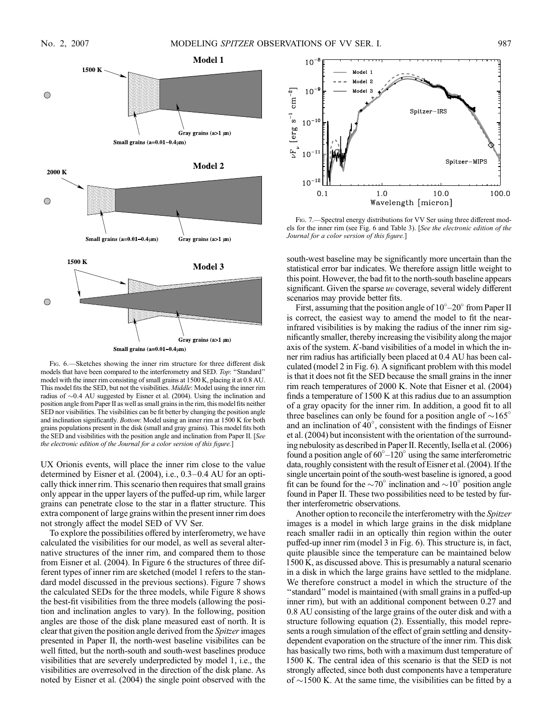

FIG. 6.—Sketches showing the inner rim structure for three different disk models that have been compared to the interferometry and SED. Top: ''Standard'' model with the inner rim consisting of small grains at 1500 K, placing it at 0.8 AU. This model fits the SED, but not the visibilities. Middle: Model using the inner rim radius of  $\sim 0.4$  AU suggested by Eisner et al. (2004). Using the inclination and position angle from Paper II as well as small grains in the rim, this model fits neither SED nor visibilities. The visibilities can be fit better by changing the position angle and inclination significantly. Bottom: Model using an inner rim at 1500 K for both grains populations present in the disk (small and gray grains). This model fits both the SED and visibilities with the position angle and inclination from Paper II. [See the electronic edition of the Journal for a color version of this figure.]

UX Orionis events, will place the inner rim close to the value determined by Eisner et al. (2004), i.e., 0.3-0.4 AU for an optically thick inner rim. This scenario then requires that small grains only appear in the upper layers of the puffed-up rim, while larger grains can penetrate close to the star in a flatter structure. This extra component of large grains within the present inner rim does not strongly affect the model SED of VV Ser.

To explore the possibilities offered by interferometry, we have calculated the visibilities for our model, as well as several alternative structures of the inner rim, and compared them to those from Eisner et al. (2004). In Figure 6 the structures of three different types of inner rim are sketched (model 1 refers to the standard model discussed in the previous sections). Figure 7 shows the calculated SEDs for the three models, while Figure 8 shows the best-fit visibilities from the three models (allowing the position and inclination angles to vary). In the following, position angles are those of the disk plane measured east of north. It is clear that given the position angle derived from the Spitzer images presented in Paper II, the north-west baseline visibilites can be well fitted, but the north-south and south-west baselines produce visibilities that are severely underpredicted by model 1, i.e., the visibilities are overresolved in the direction of the disk plane. As noted by Eisner et al. (2004) the single point observed with the



FIG. 7. - Spectral energy distributions for VV Ser using three different models for the inner rim (see Fig. 6 and Table 3). [See the electronic edition of the Journal for a color version of this figure.]

south-west baseline may be significantly more uncertain than the statistical error bar indicates. We therefore assign little weight to this point. However, the bad fit to the north-south baseline appears significant. Given the sparse  $uv$  coverage, several widely different scenarios may provide better fits.

First, assuming that the position angle of  $10^{\circ} - 20^{\circ}$  from Paper II is correct, the easiest way to amend the model to fit the nearinfrared visibilities is by making the radius of the inner rim significantly smaller, thereby increasing the visibility along the major axis of the system. K-band visibilities of a model in which the inner rim radius has artificially been placed at 0.4 AU has been calculated (model 2 in Fig. 6). A significant problem with this model is that it does not fit the SED because the small grains in the inner rim reach temperatures of 2000 K. Note that Eisner et al. (2004) finds a temperature of 1500 K at this radius due to an assumption of a gray opacity for the inner rim. In addition, a good fit to all three baselines can only be found for a position angle of  $\sim$ 165<sup>°</sup> and an inclination of  $40^{\circ}$ , consistent with the findings of Eisner et al. (2004) but inconsistent with the orientation of the surrounding nebulosity as described in Paper II. Recently, Isella et al. (2006) found a position angle of  $60^{\circ} - 120^{\circ}$  using the same interferometric data, roughly consistent with the result of Eisner et al. (2004). If the single uncertain point of the south-west baseline is ignored, a good fit can be found for the  $\sim 70^{\circ}$  inclination and  $\sim 10^{\circ}$  position angle found in Paper II. These two possibilities need to be tested by further interferometric observations.

Another option to reconcile the interferometry with the Spitzer images is a model in which large grains in the disk midplane reach smaller radii in an optically thin region within the outer puffed-up inner rim (model 3 in Fig. 6). This structure is, in fact, quite plausible since the temperature can be maintained below 1500 K, as discussed above. This is presumably a natural scenario in a disk in which the large grains have settled to the midplane. We therefore construct a model in which the structure of the "standard" model is maintained (with small grains in a puffed-up inner rim), but with an additional component between 0.27 and 0.8 AU consisting of the large grains of the outer disk and with a structure following equation (2). Essentially, this model represents a rough simulation of the effect of grain settling and densitydependent evaporation on the structure of the inner rim. This disk has basically two rims, both with a maximum dust temperature of 1500 K. The central idea of this scenario is that the SED is not strongly affected, since both dust components have a temperature of  $\sim$ 1500 K. At the same time, the visibilities can be fitted by a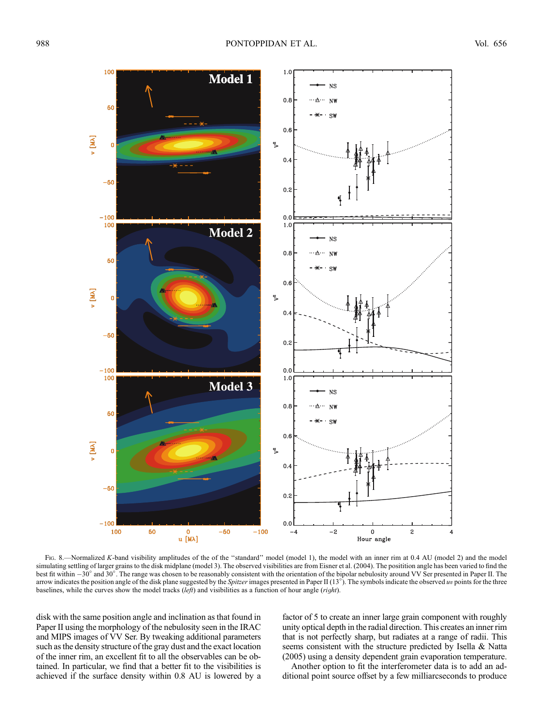

Fig. 8.—Normalized K-band visibility amplitudes of the of the "standard" model (model 1), the model with an inner rim at 0.4 AU (model 2) and the model simulating settling of larger grains to the disk midplane (model 3). The observed visibilities are from Eisner et al. (2004). The positition angle has been varied to find the best fit within  $-30^{\circ}$  and  $30^{\circ}$ . The range was chosen to be reasonably consistent with the orientation of the bipolar nebulosity around VV Ser presented in Paper II. The arrow indicates the position angle of the disk plane suggested by the *Spitzer* images presented in Paper II  $(13^{\circ})$ . The symbols indicate the observed uv points for the three baselines, while the curves show the model tracks  $(\text{left})$  and visibilities as a function of hour angle (*right*).

disk with the same position angle and inclination as that found in Paper II using the morphology of the nebulosity seen in the IRAC and MIPS images of VV Ser. By tweaking additional parameters such as the density structure of the gray dust and the exact location of the inner rim, an excellent fit to all the observables can be obtained. In particular, we find that a better fit to the visibilities is achieved if the surface density within 0.8 AU is lowered by a

factor of 5 to create an inner large grain component with roughly unity optical depth in the radial direction. This creates an inner rim that is not perfectly sharp, but radiates at a range of radii. This seems consistent with the structure predicted by Isella & Natta (2005) using a density dependent grain evaporation temperature.

Another option to fit the interferometer data is to add an additional point source offset by a few milliarcseconds to produce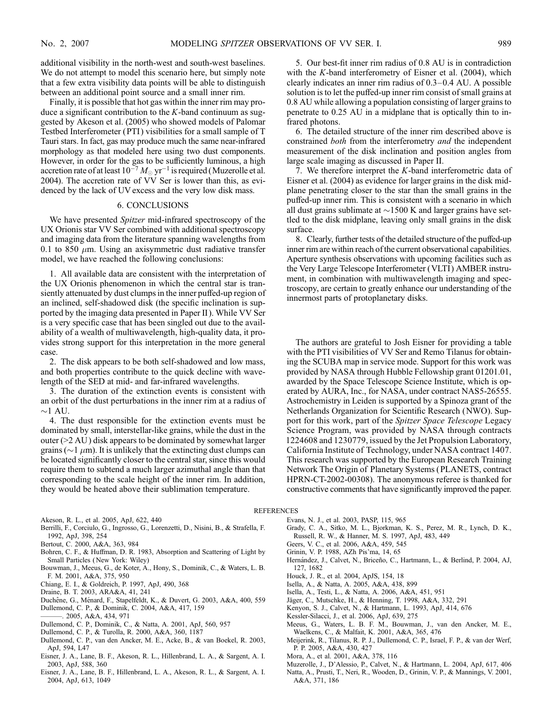additional visibility in the north-west and south-west baselines. We do not attempt to model this scenario here, but simply note that a few extra visibility data points will be able to distinguish between an additional point source and a small inner rim.

Finally, it is possible that hot gas within the inner rim may produce a significant contribution to the  $K$ -band continuum as suggested by Akeson et al. (2005) who showed models of Palomar Testbed Interferometer (PTI ) visibilities for a small sample of T Tauri stars. In fact, gas may produce much the same near-infrared morphology as that modeled here using two dust components. However, in order for the gas to be sufficiently luminous, a high accretion rate of at least  $10^{-7}\,M_\odot\, \mathrm{yr}^{-1}$  is required (Muzerolle et al. 2004). The accretion rate of VV Ser is lower than this, as evidenced by the lack of UV excess and the very low disk mass.

### 6. CONCLUSIONS

We have presented *Spitzer* mid-infrared spectroscopy of the UX Orionis star VV Ser combined with additional spectroscopy and imaging data from the literature spanning wavelengths from 0.1 to 850  $\mu$ m. Using an axisymmetric dust radiative transfer model, we have reached the following conclusions:

1. All available data are consistent with the interpretation of the UX Orionis phenomenon in which the central star is transiently attenuated by dust clumps in the inner puffed-up region of an inclined, self-shadowed disk (the specific inclination is supported by the imaging data presented in Paper II ). While VV Ser is a very specific case that has been singled out due to the availability of a wealth of multiwavelength, high-quality data, it provides strong support for this interpretation in the more general case.

2. The disk appears to be both self-shadowed and low mass, and both properties contribute to the quick decline with wavelength of the SED at mid- and far-infrared wavelengths.

3. The duration of the extinction events is consistent with an orbit of the dust perturbations in the inner rim at a radius of  ${\sim}1$  AU.

4. The dust responsible for the extinction events must be dominated by small, interstellar-like grains, while the dust in the outer (>2 AU ) disk appears to be dominated by somewhat larger grains ( $\sim$ 1  $\mu$ m). It is unlikely that the extincting dust clumps can be located significantly closer to the central star, since this would require them to subtend a much larger azimuthal angle than that corresponding to the scale height of the inner rim. In addition, they would be heated above their sublimation temperature.

5. Our best-fit inner rim radius of 0.8 AU is in contradiction with the  $K$ -band interferometry of Eisner et al. (2004), which clearly indicates an inner rim radius of  $0.3-0.4$  AU. A possible solution is to let the puffed-up inner rim consist of small grains at 0.8 AU while allowing a population consisting of larger grains to penetrate to 0.25 AU in a midplane that is optically thin to infrared photons.

6. The detailed structure of the inner rim described above is constrained *both* from the interferometry *and* the independent measurement of the disk inclination and position angles from large scale imaging as discussed in Paper II.

7. We therefore interpret the  $K$ -band interferometric data of Eisner et al. (2004) as evidence for larger grains in the disk midplane penetrating closer to the star than the small grains in the puffed-up inner rim. This is consistent with a scenario in which all dust grains sublimate at  $\sim$ 1500 K and larger grains have settled to the disk midplane, leaving only small grains in the disk surface.

8. Clearly, further tests of the detailed structure of the puffed-up inner rim are within reach of the current observational capabilities. Aperture synthesis observations with upcoming facilities such as the Very Large Telescope Interferometer (VLTI ) AMBER instrument, in combination with multiwavelength imaging and spectroscopy, are certain to greatly enhance our understanding of the innermost parts of protoplanetary disks.

The authors are grateful to Josh Eisner for providing a table with the PTI visibilities of VV Ser and Remo Tilanus for obtaining the SCUBA map in service mode. Support for this work was provided by NASA through Hubble Fellowship grant 01201.01, awarded by the Space Telescope Science Institute, which is operated by AURA, Inc., for NASA, under contract NAS5-26555. Astrochemistry in Leiden is supported by a Spinoza grant of the Netherlands Organization for Scientific Research (NWO). Support for this work, part of the Spitzer Space Telescope Legacy Science Program, was provided by NASA through contracts 1224608 and 1230779, issued by the Jet Propulsion Laboratory, California Institute of Technology, under NASA contract 1407. This research was supported by the European Research Training Network The Origin of Planetary Systems (PLANETS, contract HPRN-CT-2002-00308). The anonymous referee is thanked for constructive comments that have significantly improved the paper.

#### **REFERENCES**

- Akeson, R. L., et al. 2005, ApJ, 622, 440
- Berrilli, F., Corciulo, G., Ingrosso, G., Lorenzetti, D., Nisini, B., & Strafella, F. 1992, ApJ, 398, 254
- Bertout, C. 2000, A&A, 363, 984
- Bohren, C. F., & Huffman, D. R. 1983, Absorption and Scattering of Light by Small Particles ( New York: Wiley)
- Bouwman, J., Meeus, G., de Koter, A., Hony, S., Dominik, C., & Waters, L. B. F. M. 2001, A&A, 375, 950
- Chiang, E. I., & Goldreich, P. 1997, ApJ, 490, 368
- Draine, B. T. 2003, ARA&A, 41, 241
- Duchêne, G., Ménard, F., Stapelfeldt, K., & Duvert, G. 2003, A&A, 400, 559
- Dullemond, C. P., & Dominik, C. 2004, A&A, 417, 159
- ———. 2005, A&A, 434, 971
- Dullemond, C. P., Dominik, C., & Natta, A. 2001, ApJ, 560, 957
- Dullemond, C. P., & Turolla, R. 2000, A&A, 360, 1187
- Dullemond, C. P., van den Ancker, M. E., Acke, B., & van Boekel, R. 2003, ApJ, 594, L47
- Eisner, J. A., Lane, B. F., Akeson, R. L., Hillenbrand, L. A., & Sargent, A. I. 2003, ApJ, 588, 360
- Eisner, J. A., Lane, B. F., Hillenbrand, L. A., Akeson, R. L., & Sargent, A. I. 2004, ApJ, 613, 1049
- Evans, N. J., et al. 2003, PASP, 115, 965
- Grady, C. A., Sitko, M. L., Bjorkman, K. S., Perez, M. R., Lynch, D. K., Russell, R. W., & Hanner, M. S. 1997, ApJ, 483, 449
- Geers, V. C., et al. 2006, A&A, 459, 545
- Grinin, V. P. 1988, AZh Pis'ma, 14, 65
- Hernández, J., Calvet, N., Briceño, C., Hartmann, L., & Berlind, P. 2004, AJ, 127, 1682
- Houck, J. R., et al. 2004, ApJS, 154, 18
- Isella, A., & Natta, A. 2005, A&A, 438, 899
- Isella, A., Testi, L., & Natta, A. 2006, A&A, 451, 951
- Jäger, C., Mutschke, H., & Henning, T. 1998, A&A, 332, 291
- Kenyon, S. J., Calvet, N., & Hartmann, L. 1993, ApJ, 414, 676
- Kessler-Silacci, J., et al. 2006, ApJ, 639, 275
- Meeus, G., Waters, L. B. F. M., Bouwman, J., van den Ancker, M. E., Waelkens, C., & Malfait, K. 2001, A&A, 365, 476
- Meijerink, R., Tilanus, R. P. J., Dullemond, C. P., Israel, F. P., & van der Werf, P. P. 2005, A&A, 430, 427
- Mora, A., et al. 2001, A&A, 378, 116
- Muzerolle, J., D'Alessio, P., Calvet, N., & Hartmann, L. 2004, ApJ, 617, 406
- Natta, A., Prusti, T., Neri, R., Wooden, D., Grinin, V. P., & Mannings, V. 2001, A&A, 371, 186